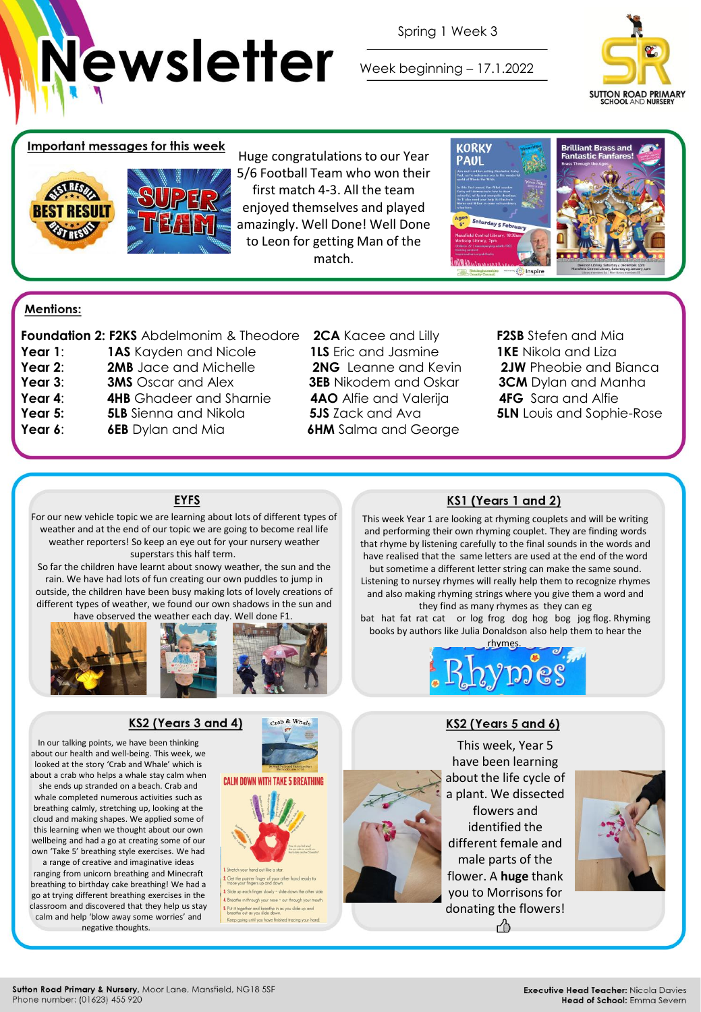

Spring 1 Week 3

Week beginning – 17.1.2022



## Important messages for this week



Huge congratulations to our Year 5/6 Football Team who won their first match 4-3. All the team enjoyed themselves and played amazingly. Well Done! Well Done to Leon for getting Man of the match.



## **Mentions:**

|         | Foundation 2: F2KS Abdelmonim & Theodor |  |  |
|---------|-----------------------------------------|--|--|
| Year 1: | <b>1AS</b> Kayden and Nicole            |  |  |
| Year 2: | 2MB Jace and Michelle                   |  |  |
| Year 3: | <b>3MS</b> Oscar and Alex               |  |  |
| Year 4: | <b>4HB</b> Ghadeer and Sharnie          |  |  |
| Year 5: | <b>5LB</b> Sienna and Nikola            |  |  |
| Year 6: | <b>6EB</b> Dylan and Mia                |  |  |

**Faundation 2: F2SB** Stefen and Mia **1LS** Fric and Jasmine **1KE** Nikola and Liza **3EB** Nikodem and Oskar **3CM** Dylan and Manha **4AO** Alfie and Valerija **4FG** Sara and Alfie **6HM** Salma and George

**2NG** Leanne and Kevin **2JW** Pheobie and Bianca **5JS** Zack and Ava **5LN** Louis and Sophie-Rose

#### **EYFS**

For our new vehicle topic we are learning about lots of different types of weather and at the end of our topic we are going to become real life weather reporters! So keep an eye out for your nursery weather superstars this half term.

So far the children have learnt about snowy weather, the sun and the rain. We have had lots of fun creating our own puddles to jump in outside, the children have been busy making lots of lovely creations of different types of weather, we found our own shadows in the sun and have observed the weather each day. Well done F1.



### KS2 (Years 3 and 4)

In our talking points, we have been thinking about our health and well-being. This week, we looked at the story 'Crab and Whale' which is about a crab who helps a whale stay calm when

she ends up stranded on a beach. Crab and whale completed numerous activities such as breathing calmly, stretching up, looking at the cloud and making shapes. We applied some of this learning when we thought about our own wellbeing and had a go at creating some of our own 'Take 5' breathing style exercises. We had

a range of creative and imaginative ideas ranging from unicorn breathing and Minecraft breathing to birthday cake breathing! We had a go at trying different breathing exercises in the classroom and discovered that they help us stay calm and help 'blow away some worries' and negative thoughts.





ch finger slowly - slide di he in through your nase - out through your m Put it together and breathe in as you slide up and<br>breathe out as you slide down. Keep going until you have finished tracing your hand.

## KS1 (Years 1 and 2)

This week Year 1 are looking at rhyming couplets and will be writing and performing their own rhyming couplet. They are finding words that rhyme by listening carefully to the final sounds in the words and have realised that the same letters are used at the end of the word

but sometime a different letter string can make the same sound. Listening to nursey rhymes will really help them to recognize rhymes and also making rhyming strings where you give them a word and they find as many rhymes as they can eg

bat hat fat rat cat or log frog dog hog bog jog flog. Rhyming books by authors like Julia Donaldson also help them to hear the



#### KS2 (Years 5 and 6)



This week, Year 5 have been learning about the life cycle of a plant. We dissected flowers and identified the different female and male parts of the flower. A **huge** thank you to Morrisons for donating the flowers!  $A$